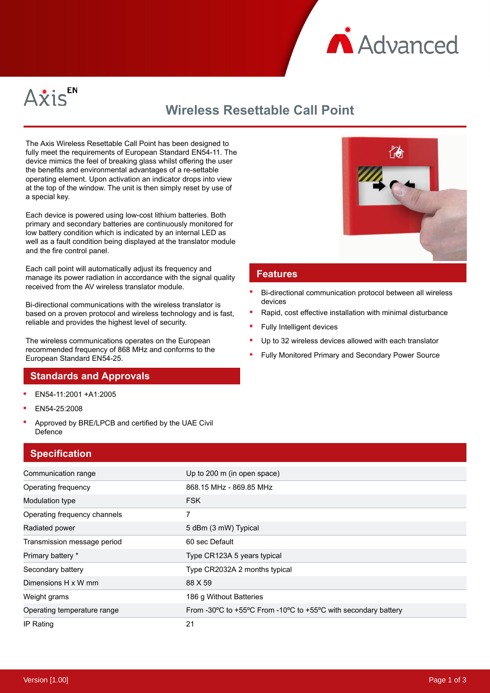



# **Wireless Resettable Call Point**

The Axis Wireless Resettable Call Point has been designed to fully meet the requirements of European Standard EN54-11. The device mimics the feel of breaking glass whilst offering the user the benefits and environmental advantages of a re-settable operating element. Upon activation an indicator drops into view at the top of the window. The unit is then simply reset by use of a special key.

Each device is powered using low-cost lithium batteries. Both primary and secondary batteries are continuously monitored for low battery condition which is indicated by an internal LED as well as a fault condition being displayed at the translator module and the fire control panel.

Each call point will automatically adjust its frequency and manage its power radiation in accordance with the signal quality received from the AV wireless translator module.

Bi-directional communications with the wireless translator is based on a proven protocol and wireless technology and is fast, reliable and provides the highest level of security.

The wireless communications operates on the European recommended frequency of 868 MHz and conforms to the European Standard EN54-25.

### **Standards and Approvals**

- EN54-11:2001 +A1:2005
- EN54-25:2008
- Approved by BRE/LPCB and certified by the UAE Civil Defence

## **Specification**



| Radiated power              | 5 dBm (3 mW) Typical                                                                                   |
|-----------------------------|--------------------------------------------------------------------------------------------------------|
| Transmission message period | 60 sec Default                                                                                         |
| Primary battery *           | Type CR123A 5 years typical                                                                            |
| Secondary battery           | Type CR2032A 2 months typical                                                                          |
| Dimensions H x W mm         | 88 X 59                                                                                                |
| Weight grams                | 186 g Without Batteries                                                                                |
| Operating temperature range | From -30 $\degree$ C to +55 $\degree$ C From -10 $\degree$ C to +55 $\degree$ C with secondary battery |
| IP Rating                   | 21                                                                                                     |



#### **Features**

- Bi-directional communication protocol between all wireless devices
- Rapid, cost effective installation with minimal disturbance
- Fully Intelligent devices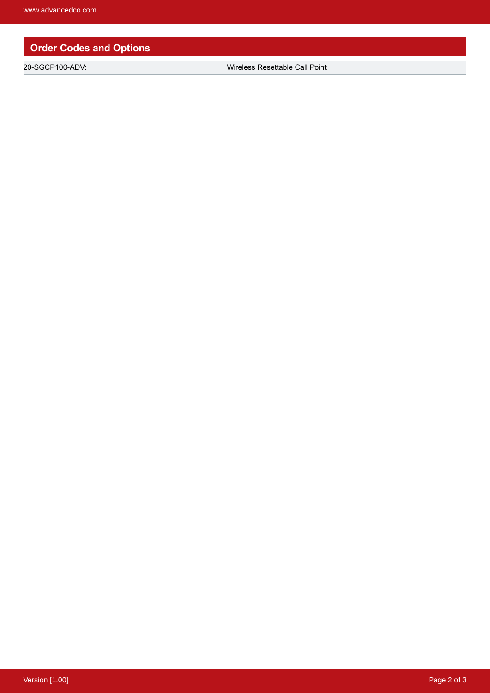# **Order Codes and Options**

20-SGCP100-ADV: Wireless Resettable Call Point